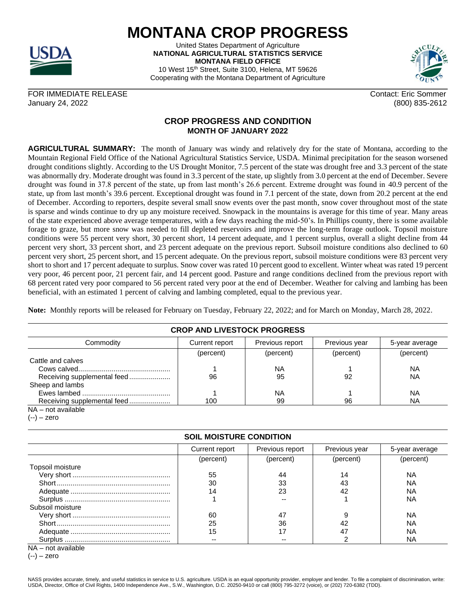

## **MONTANA CROP PROGRESS**

United States Department of Agriculture **NATIONAL AGRICULTURAL STATISTICS SERVICE MONTANA FIELD OFFICE** 10 West 15th Street, Suite 3100, Helena, MT 59626 Cooperating with the Montana Department of Agriculture



FOR IMMEDIATE RELEASE CONTACT AND THE SOME CONTACT CONTACT CONTACT CONTACT CONTACT CONTACT CONTACT CONTACT CONTACT CONTACT CONTACT CONTACT CONTACT CONTACT CONTACT CONTACT CONTACT CONTACT CONTACT CONTACT CONTACT CONTACT CON January 24, 2022 (800) 835-2612

## **CROP PROGRESS AND CONDITION MONTH OF JANUARY 2022**

**AGRICULTURAL SUMMARY:** The month of January was windy and relatively dry for the state of Montana, according to the Mountain Regional Field Office of the National Agricultural Statistics Service, USDA. Minimal precipitation for the season worsened drought conditions slightly. According to the US Drought Monitor, 7.5 percent of the state was drought free and 3.3 percent of the state was abnormally dry. Moderate drought was found in 3.3 percent of the state, up slightly from 3.0 percent at the end of December. Severe drought was found in 37.8 percent of the state, up from last month's 26.6 percent. Extreme drought was found in 40.9 percent of the state, up from last month's 39.6 percent. Exceptional drought was found in 7.1 percent of the state, down from 20.2 percent at the end of December. According to reporters, despite several small snow events over the past month, snow cover throughout most of the state is sparse and winds continue to dry up any moisture received. Snowpack in the mountains is average for this time of year. Many areas of the state experienced above average temperatures, with a few days reaching the mid-50's. In Phillips county, there is some available forage to graze, but more snow was needed to fill depleted reservoirs and improve the long-term forage outlook. Topsoil moisture conditions were 55 percent very short, 30 percent short, 14 percent adequate, and 1 percent surplus, overall a slight decline from 44 percent very short, 33 percent short, and 23 percent adequate on the previous report. Subsoil moisture conditions also declined to 60 percent very short, 25 percent short, and 15 percent adequate. On the previous report, subsoil moisture conditions were 83 percent very short to short and 17 percent adequate to surplus. Snow cover was rated 10 percent good to excellent. Winter wheat was rated 19 percent very poor, 46 percent poor, 21 percent fair, and 14 percent good. Pasture and range conditions declined from the previous report with 68 percent rated very poor compared to 56 percent rated very poor at the end of December. Weather for calving and lambing has been beneficial, with an estimated 1 percent of calving and lambing completed, equal to the previous year.

**Note:** Monthly reports will be released for February on Tuesday, February 22, 2022; and for March on Monday, March 28, 2022.

| <b>CROP AND LIVESTOCK PROGRESS</b> |                |                 |               |                |  |  |  |
|------------------------------------|----------------|-----------------|---------------|----------------|--|--|--|
| Commodity                          | Current report | Previous report | Previous year | 5-year average |  |  |  |
|                                    | (percent)      | (percent)       | (percent)     | (percent)      |  |  |  |
| Cattle and calves                  |                |                 |               |                |  |  |  |
|                                    |                | <b>NA</b>       |               | <b>NA</b>      |  |  |  |
| Receiving supplemental feed        | 96             | 95              | 92            | <b>NA</b>      |  |  |  |
| Sheep and lambs                    |                |                 |               |                |  |  |  |
|                                    |                | <b>NA</b>       |               | <b>NA</b>      |  |  |  |
| Receiving supplemental feed        | 100            | 99              | 96            | <b>NA</b>      |  |  |  |

NA – not available

 $(-)$  – zero

## **SOIL MOISTURE CONDITION**

|                  | Current report | Previous report | Previous year | 5-year average |
|------------------|----------------|-----------------|---------------|----------------|
|                  | (percent)      | (percent)       | (percent)     | (percent)      |
| Topsoil moisture |                |                 |               |                |
|                  | 55             | 44              | 14            | ΝA             |
|                  | 30             | 33              | 43            | <b>NA</b>      |
|                  | 14             | 23              | 42            | <b>NA</b>      |
|                  |                |                 |               | ΝA             |
| Subsoil moisture |                |                 |               |                |
|                  | 60             | 47              | 9             | ΝA             |
|                  | 25             | 36              | 42            | ΝA             |
|                  | 15             |                 | 47            | <b>NA</b>      |
|                  | --             | --              |               | <b>NA</b>      |

NA – not available

(--) – zero

NASS provides accurate, timely, and useful statistics in service to U.S. agriculture. USDA is an equal opportunity provider, employer and lender. To file a complaint of discrimination, write: USDA, Director, Office of Civil Rights, 1400 Independence Ave., S.W., Washington, D.C. 20250-9410 or call (800) 795-3272 (voice), or (202) 720-6382 (TDD).